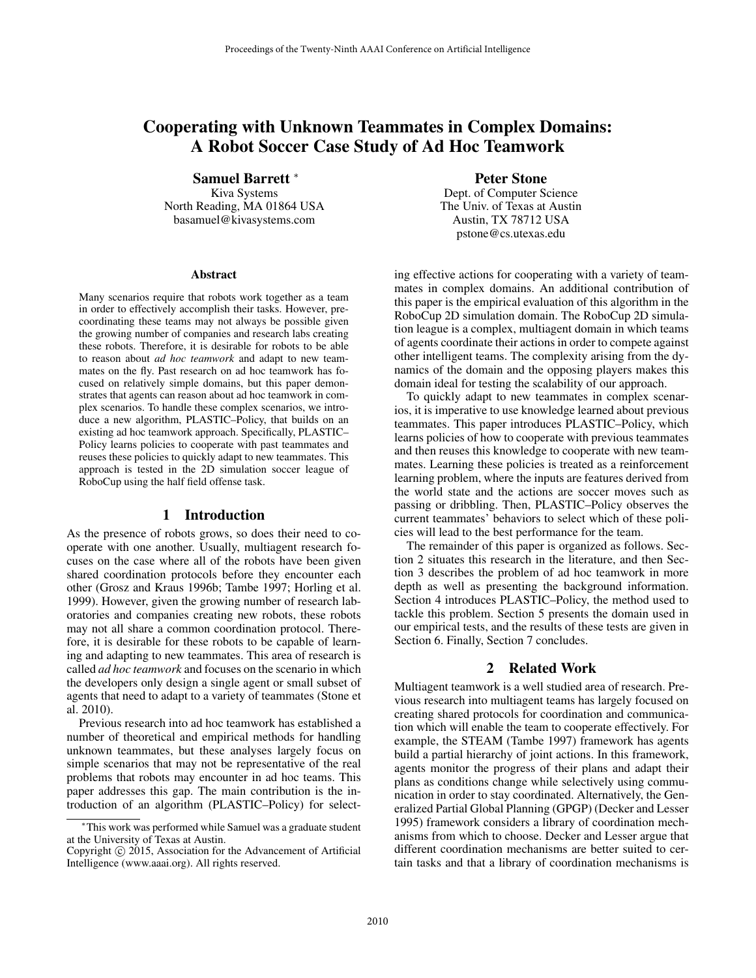# Cooperating with Unknown Teammates in Complex Domains: A Robot Soccer Case Study of Ad Hoc Teamwork

Samuel Barrett <sup>∗</sup>

Kiva Systems North Reading, MA 01864 USA basamuel@kivasystems.com

#### Abstract

Many scenarios require that robots work together as a team in order to effectively accomplish their tasks. However, precoordinating these teams may not always be possible given the growing number of companies and research labs creating these robots. Therefore, it is desirable for robots to be able to reason about *ad hoc teamwork* and adapt to new teammates on the fly. Past research on ad hoc teamwork has focused on relatively simple domains, but this paper demonstrates that agents can reason about ad hoc teamwork in complex scenarios. To handle these complex scenarios, we introduce a new algorithm, PLASTIC–Policy, that builds on an existing ad hoc teamwork approach. Specifically, PLASTIC– Policy learns policies to cooperate with past teammates and reuses these policies to quickly adapt to new teammates. This approach is tested in the 2D simulation soccer league of RoboCup using the half field offense task.

## 1 Introduction

As the presence of robots grows, so does their need to cooperate with one another. Usually, multiagent research focuses on the case where all of the robots have been given shared coordination protocols before they encounter each other (Grosz and Kraus 1996b; Tambe 1997; Horling et al. 1999). However, given the growing number of research laboratories and companies creating new robots, these robots may not all share a common coordination protocol. Therefore, it is desirable for these robots to be capable of learning and adapting to new teammates. This area of research is called *ad hoc teamwork* and focuses on the scenario in which the developers only design a single agent or small subset of agents that need to adapt to a variety of teammates (Stone et al. 2010).

Previous research into ad hoc teamwork has established a number of theoretical and empirical methods for handling unknown teammates, but these analyses largely focus on simple scenarios that may not be representative of the real problems that robots may encounter in ad hoc teams. This paper addresses this gap. The main contribution is the introduction of an algorithm (PLASTIC–Policy) for selectPeter Stone

Dept. of Computer Science The Univ. of Texas at Austin Austin, TX 78712 USA pstone@cs.utexas.edu

ing effective actions for cooperating with a variety of teammates in complex domains. An additional contribution of this paper is the empirical evaluation of this algorithm in the RoboCup 2D simulation domain. The RoboCup 2D simulation league is a complex, multiagent domain in which teams of agents coordinate their actions in order to compete against other intelligent teams. The complexity arising from the dynamics of the domain and the opposing players makes this domain ideal for testing the scalability of our approach.

To quickly adapt to new teammates in complex scenarios, it is imperative to use knowledge learned about previous teammates. This paper introduces PLASTIC–Policy, which learns policies of how to cooperate with previous teammates and then reuses this knowledge to cooperate with new teammates. Learning these policies is treated as a reinforcement learning problem, where the inputs are features derived from the world state and the actions are soccer moves such as passing or dribbling. Then, PLASTIC–Policy observes the current teammates' behaviors to select which of these policies will lead to the best performance for the team.

The remainder of this paper is organized as follows. Section 2 situates this research in the literature, and then Section 3 describes the problem of ad hoc teamwork in more depth as well as presenting the background information. Section 4 introduces PLASTIC–Policy, the method used to tackle this problem. Section 5 presents the domain used in our empirical tests, and the results of these tests are given in Section 6. Finally, Section 7 concludes.

#### 2 Related Work

Multiagent teamwork is a well studied area of research. Previous research into multiagent teams has largely focused on creating shared protocols for coordination and communication which will enable the team to cooperate effectively. For example, the STEAM (Tambe 1997) framework has agents build a partial hierarchy of joint actions. In this framework, agents monitor the progress of their plans and adapt their plans as conditions change while selectively using communication in order to stay coordinated. Alternatively, the Generalized Partial Global Planning (GPGP) (Decker and Lesser 1995) framework considers a library of coordination mechanisms from which to choose. Decker and Lesser argue that different coordination mechanisms are better suited to certain tasks and that a library of coordination mechanisms is

<sup>∗</sup>This work was performed while Samuel was a graduate student at the University of Texas at Austin.

Copyright  $\odot$  2015, Association for the Advancement of Artificial Intelligence (www.aaai.org). All rights reserved.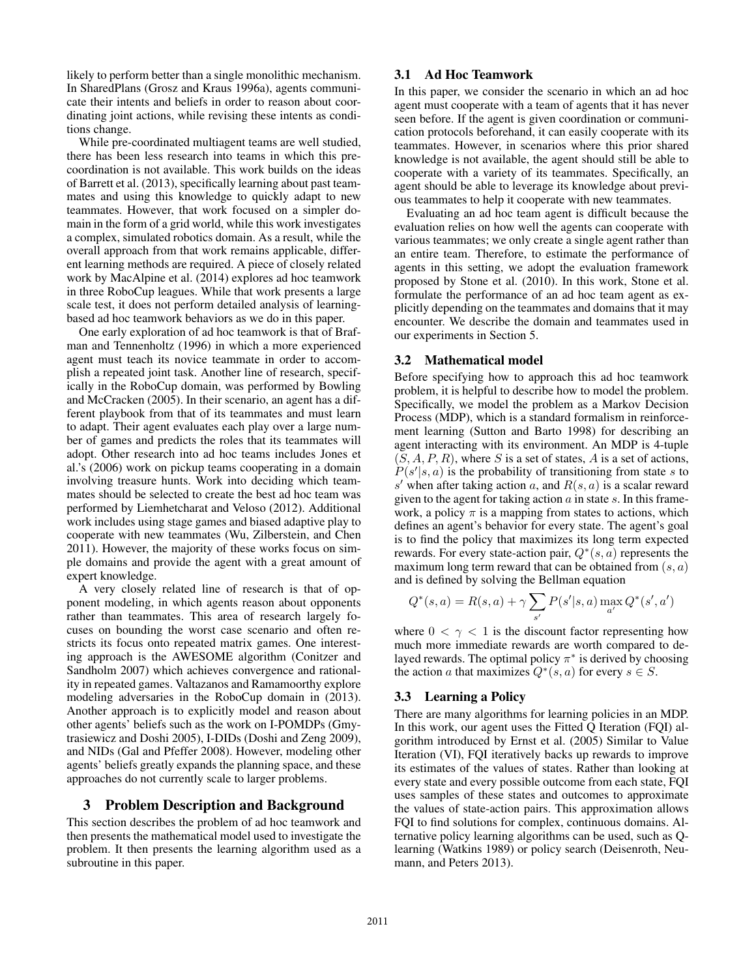likely to perform better than a single monolithic mechanism. In SharedPlans (Grosz and Kraus 1996a), agents communicate their intents and beliefs in order to reason about coordinating joint actions, while revising these intents as conditions change.

While pre-coordinated multiagent teams are well studied, there has been less research into teams in which this precoordination is not available. This work builds on the ideas of Barrett et al. (2013), specifically learning about past teammates and using this knowledge to quickly adapt to new teammates. However, that work focused on a simpler domain in the form of a grid world, while this work investigates a complex, simulated robotics domain. As a result, while the overall approach from that work remains applicable, different learning methods are required. A piece of closely related work by MacAlpine et al. (2014) explores ad hoc teamwork in three RoboCup leagues. While that work presents a large scale test, it does not perform detailed analysis of learningbased ad hoc teamwork behaviors as we do in this paper.

One early exploration of ad hoc teamwork is that of Brafman and Tennenholtz (1996) in which a more experienced agent must teach its novice teammate in order to accomplish a repeated joint task. Another line of research, specifically in the RoboCup domain, was performed by Bowling and McCracken (2005). In their scenario, an agent has a different playbook from that of its teammates and must learn to adapt. Their agent evaluates each play over a large number of games and predicts the roles that its teammates will adopt. Other research into ad hoc teams includes Jones et al.'s (2006) work on pickup teams cooperating in a domain involving treasure hunts. Work into deciding which teammates should be selected to create the best ad hoc team was performed by Liemhetcharat and Veloso (2012). Additional work includes using stage games and biased adaptive play to cooperate with new teammates (Wu, Zilberstein, and Chen 2011). However, the majority of these works focus on simple domains and provide the agent with a great amount of expert knowledge.

A very closely related line of research is that of opponent modeling, in which agents reason about opponents rather than teammates. This area of research largely focuses on bounding the worst case scenario and often restricts its focus onto repeated matrix games. One interesting approach is the AWESOME algorithm (Conitzer and Sandholm 2007) which achieves convergence and rationality in repeated games. Valtazanos and Ramamoorthy explore modeling adversaries in the RoboCup domain in (2013). Another approach is to explicitly model and reason about other agents' beliefs such as the work on I-POMDPs (Gmytrasiewicz and Doshi 2005), I-DIDs (Doshi and Zeng 2009), and NIDs (Gal and Pfeffer 2008). However, modeling other agents' beliefs greatly expands the planning space, and these approaches do not currently scale to larger problems.

## 3 Problem Description and Background

This section describes the problem of ad hoc teamwork and then presents the mathematical model used to investigate the problem. It then presents the learning algorithm used as a subroutine in this paper.

# 3.1 Ad Hoc Teamwork

In this paper, we consider the scenario in which an ad hoc agent must cooperate with a team of agents that it has never seen before. If the agent is given coordination or communication protocols beforehand, it can easily cooperate with its teammates. However, in scenarios where this prior shared knowledge is not available, the agent should still be able to cooperate with a variety of its teammates. Specifically, an agent should be able to leverage its knowledge about previous teammates to help it cooperate with new teammates.

Evaluating an ad hoc team agent is difficult because the evaluation relies on how well the agents can cooperate with various teammates; we only create a single agent rather than an entire team. Therefore, to estimate the performance of agents in this setting, we adopt the evaluation framework proposed by Stone et al. (2010). In this work, Stone et al. formulate the performance of an ad hoc team agent as explicitly depending on the teammates and domains that it may encounter. We describe the domain and teammates used in our experiments in Section 5.

## 3.2 Mathematical model

Before specifying how to approach this ad hoc teamwork problem, it is helpful to describe how to model the problem. Specifically, we model the problem as a Markov Decision Process (MDP), which is a standard formalism in reinforcement learning (Sutton and Barto 1998) for describing an agent interacting with its environment. An MDP is 4-tuple  $(S, A, P, R)$ , where S is a set of states, A is a set of actions,  $P(s'|s, a)$  is the probability of transitioning from state s to s' when after taking action a, and  $R(s, a)$  is a scalar reward given to the agent for taking action  $\alpha$  in state  $\alpha$ . In this framework, a policy  $\pi$  is a mapping from states to actions, which defines an agent's behavior for every state. The agent's goal is to find the policy that maximizes its long term expected rewards. For every state-action pair,  $Q^*(s, a)$  represents the maximum long term reward that can be obtained from  $(s, a)$ and is defined by solving the Bellman equation

$$
Q^*(s, a) = R(s, a) + \gamma \sum_{s'} P(s'|s, a) \max_{a'} Q^*(s', a')
$$

where  $0 < \gamma < 1$  is the discount factor representing how much more immediate rewards are worth compared to delayed rewards. The optimal policy  $\pi^*$  is derived by choosing the action a that maximizes  $Q^*(s, a)$  for every  $s \in S$ .

# 3.3 Learning a Policy

There are many algorithms for learning policies in an MDP. In this work, our agent uses the Fitted Q Iteration (FQI) algorithm introduced by Ernst et al. (2005) Similar to Value Iteration (VI), FQI iteratively backs up rewards to improve its estimates of the values of states. Rather than looking at every state and every possible outcome from each state, FQI uses samples of these states and outcomes to approximate the values of state-action pairs. This approximation allows FQI to find solutions for complex, continuous domains. Alternative policy learning algorithms can be used, such as Qlearning (Watkins 1989) or policy search (Deisenroth, Neumann, and Peters 2013).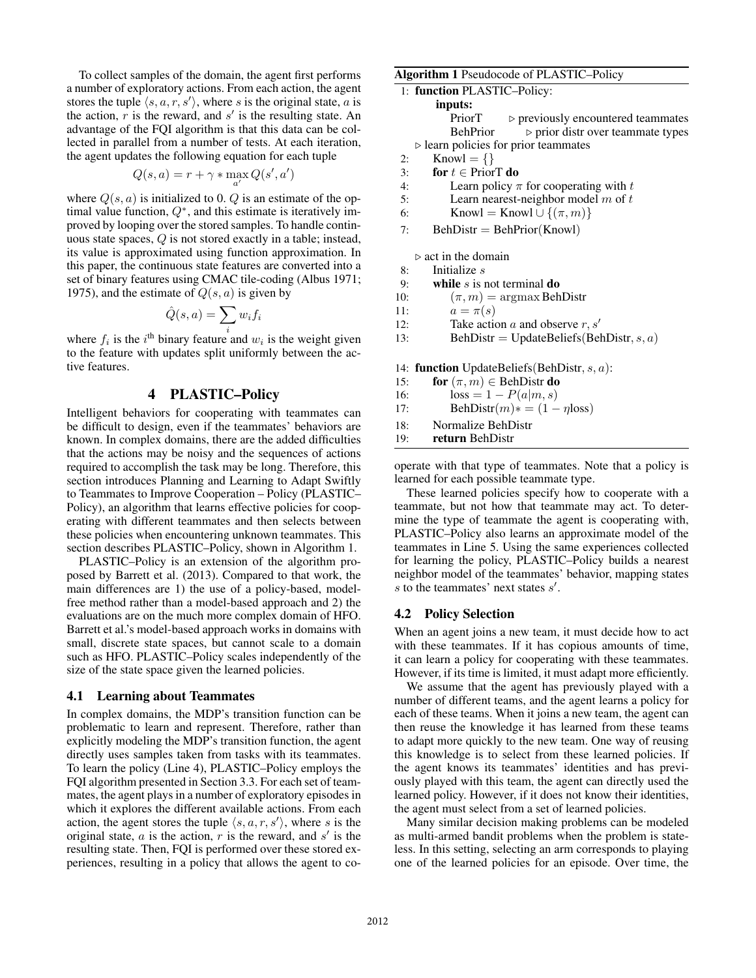To collect samples of the domain, the agent first performs a number of exploratory actions. From each action, the agent stores the tuple  $\langle s, a, r, s' \rangle$ , where s is the original state, a is the action,  $\overline{r}$  is the reward, and  $s'$  is the resulting state. An advantage of the FQI algorithm is that this data can be collected in parallel from a number of tests. At each iteration, the agent updates the following equation for each tuple

$$
Q(s,a) = r + \gamma * \max_{a'} Q(s',a')
$$

where  $Q(s, a)$  is initialized to 0. Q is an estimate of the optimal value function,  $Q^*$ , and this estimate is iteratively improved by looping over the stored samples. To handle continuous state spaces, Q is not stored exactly in a table; instead, its value is approximated using function approximation. In this paper, the continuous state features are converted into a set of binary features using CMAC tile-coding (Albus 1971; 1975), and the estimate of  $Q(s, a)$  is given by

$$
\hat{Q}(s,a) = \sum_{i} w_i f_i
$$

where  $f_i$  is the  $i^{\text{th}}$  binary feature and  $w_i$  is the weight given to the feature with updates split uniformly between the active features.

# 4 PLASTIC–Policy

Intelligent behaviors for cooperating with teammates can be difficult to design, even if the teammates' behaviors are known. In complex domains, there are the added difficulties that the actions may be noisy and the sequences of actions required to accomplish the task may be long. Therefore, this section introduces Planning and Learning to Adapt Swiftly to Teammates to Improve Cooperation – Policy (PLASTIC– Policy), an algorithm that learns effective policies for cooperating with different teammates and then selects between these policies when encountering unknown teammates. This section describes PLASTIC–Policy, shown in Algorithm 1.

PLASTIC–Policy is an extension of the algorithm proposed by Barrett et al. (2013). Compared to that work, the main differences are 1) the use of a policy-based, modelfree method rather than a model-based approach and 2) the evaluations are on the much more complex domain of HFO. Barrett et al.'s model-based approach works in domains with small, discrete state spaces, but cannot scale to a domain such as HFO. PLASTIC–Policy scales independently of the size of the state space given the learned policies.

#### 4.1 Learning about Teammates

In complex domains, the MDP's transition function can be problematic to learn and represent. Therefore, rather than explicitly modeling the MDP's transition function, the agent directly uses samples taken from tasks with its teammates. To learn the policy (Line 4), PLASTIC–Policy employs the FQI algorithm presented in Section 3.3. For each set of teammates, the agent plays in a number of exploratory episodes in which it explores the different available actions. From each action, the agent stores the tuple  $\langle s, a, r, s' \rangle$ , where s is the original state,  $a$  is the action,  $r$  is the reward, and  $s'$  is the resulting state. Then, FQI is performed over these stored experiences, resulting in a policy that allows the agent to co-

#### Algorithm 1 Pseudocode of PLASTIC–Policy

| 1: function PLASTIC-Policy:                         |                                                   |
|-----------------------------------------------------|---------------------------------------------------|
| inputs:                                             |                                                   |
| PriorT                                              | $\triangleright$ previously encountered teammates |
| BehPrior                                            | $\triangleright$ prior distr over teammate types  |
| $\triangleright$ learn policies for prior teammates |                                                   |
| $Knowl = \{\}$<br>2:                                |                                                   |

- 3: for  $t \in$  PriorT do
- 4: Learn policy  $\pi$  for cooperating with t
- 5: Learn nearest-neighbor model  $m$  of  $t$
- 6: Knowl = Knowl  $\cup$   $\{(\pi, m)\}$
- 7: BehDistr = BehPrior(Knowl)

 $\triangleright$  act in the domain

- 8: Initialize s
- 9: while  $s$  is not terminal do
- 10:  $(\pi, m) = \argmax$  BehDistr
- 11:  $a = \pi(s)$
- 12: Take action a and observe  $r, s'$
- 13: BehDistr = UpdateBeliefs(BehDistr,  $s, a$ )

14: function UpdateBeliefs(BehDistr,  $s, a$ ):

- 15: **for**  $(\pi, m) \in$  BehDistr **do**
- 16:  $\text{loss} = 1 P(a|m, s)$ <br>17:  $\text{BehDistr}(m) * = (1 -$
- $BehDistr(m) * = (1 \eta loss)$
- 18: Normalize BehDistr
- 19: return BehDistr

operate with that type of teammates. Note that a policy is learned for each possible teammate type.

These learned policies specify how to cooperate with a teammate, but not how that teammate may act. To determine the type of teammate the agent is cooperating with, PLASTIC–Policy also learns an approximate model of the teammates in Line 5. Using the same experiences collected for learning the policy, PLASTIC–Policy builds a nearest neighbor model of the teammates' behavior, mapping states  $s$  to the teammates' next states  $s'$ .

#### 4.2 Policy Selection

When an agent joins a new team, it must decide how to act with these teammates. If it has copious amounts of time, it can learn a policy for cooperating with these teammates. However, if its time is limited, it must adapt more efficiently.

We assume that the agent has previously played with a number of different teams, and the agent learns a policy for each of these teams. When it joins a new team, the agent can then reuse the knowledge it has learned from these teams to adapt more quickly to the new team. One way of reusing this knowledge is to select from these learned policies. If the agent knows its teammates' identities and has previously played with this team, the agent can directly used the learned policy. However, if it does not know their identities, the agent must select from a set of learned policies.

Many similar decision making problems can be modeled as multi-armed bandit problems when the problem is stateless. In this setting, selecting an arm corresponds to playing one of the learned policies for an episode. Over time, the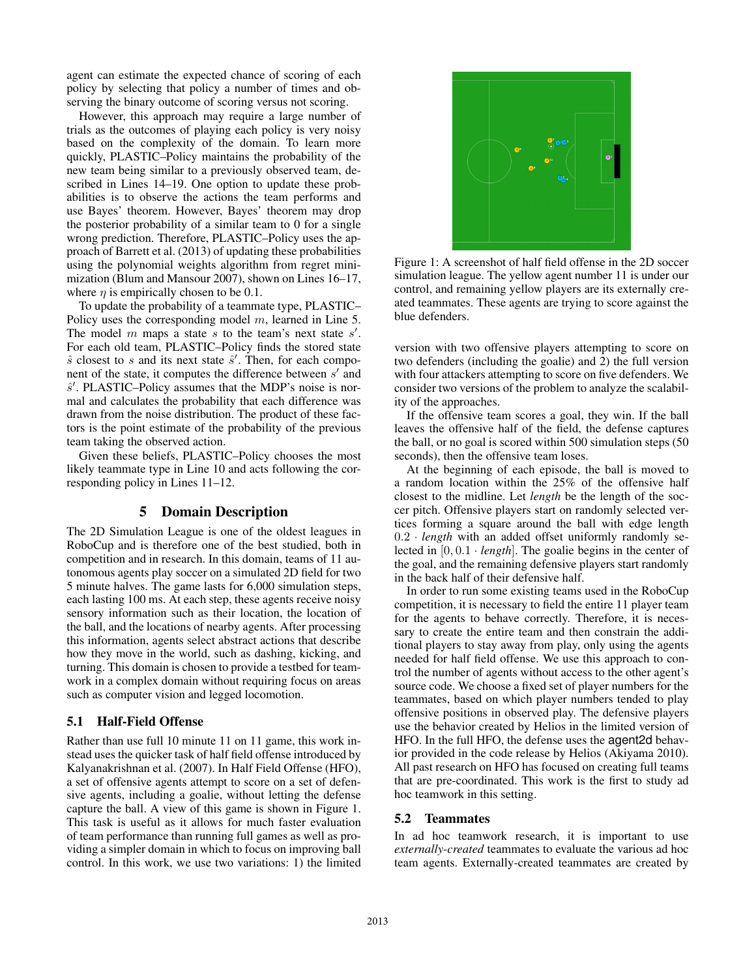agent can estimate the expected chance of scoring of each policy by selecting that policy a number of times and observing the binary outcome of scoring versus not scoring.

However, this approach may require a large number of trials as the outcomes of playing each policy is very noisy based on the complexity of the domain. To learn more quickly, PLASTIC–Policy maintains the probability of the new team being similar to a previously observed team, described in Lines 14–19. One option to update these probabilities is to observe the actions the team performs and use Bayes' theorem. However, Bayes' theorem may drop the posterior probability of a similar team to 0 for a single wrong prediction. Therefore, PLASTIC–Policy uses the approach of Barrett et al. (2013) of updating these probabilities using the polynomial weights algorithm from regret minimization (Blum and Mansour 2007), shown on Lines 16–17, where  $\eta$  is empirically chosen to be 0.1.

To update the probability of a teammate type, PLASTIC– Policy uses the corresponding model m, learned in Line 5. The model  $m$  maps a state  $s$  to the team's next state  $s'$ . For each old team, PLASTIC–Policy finds the stored state  $\hat{s}$  closest to s and its next state  $\hat{s}'$ . Then, for each component of the state, it computes the difference between  $s'$  and  $\hat{s}'$ . PLASTIC–Policy assumes that the MDP's noise is normal and calculates the probability that each difference was drawn from the noise distribution. The product of these factors is the point estimate of the probability of the previous team taking the observed action.

Given these beliefs, PLASTIC–Policy chooses the most likely teammate type in Line 10 and acts following the corresponding policy in Lines 11–12.

## 5 Domain Description

The 2D Simulation League is one of the oldest leagues in RoboCup and is therefore one of the best studied, both in competition and in research. In this domain, teams of 11 autonomous agents play soccer on a simulated 2D field for two 5 minute halves. The game lasts for 6,000 simulation steps, each lasting 100 ms. At each step, these agents receive noisy sensory information such as their location, the location of the ball, and the locations of nearby agents. After processing this information, agents select abstract actions that describe how they move in the world, such as dashing, kicking, and turning. This domain is chosen to provide a testbed for teamwork in a complex domain without requiring focus on areas such as computer vision and legged locomotion.

## 5.1 Half-Field Offense

Rather than use full 10 minute 11 on 11 game, this work instead uses the quicker task of half field offense introduced by Kalyanakrishnan et al. (2007). In Half Field Offense (HFO), a set of offensive agents attempt to score on a set of defensive agents, including a goalie, without letting the defense capture the ball. A view of this game is shown in Figure 1. This task is useful as it allows for much faster evaluation of team performance than running full games as well as providing a simpler domain in which to focus on improving ball control. In this work, we use two variations: 1) the limited



Figure 1: A screenshot of half field offense in the 2D soccer simulation league. The yellow agent number 11 is under our control, and remaining yellow players are its externally created teammates. These agents are trying to score against the blue defenders.

version with two offensive players attempting to score on two defenders (including the goalie) and 2) the full version with four attackers attempting to score on five defenders. We consider two versions of the problem to analyze the scalability of the approaches.

If the offensive team scores a goal, they win. If the ball leaves the offensive half of the field, the defense captures the ball, or no goal is scored within 500 simulation steps (50 seconds), then the offensive team loses.

At the beginning of each episode, the ball is moved to a random location within the 25% of the offensive half closest to the midline. Let *length* be the length of the soccer pitch. Offensive players start on randomly selected vertices forming a square around the ball with edge length 0.2 · *length* with an added offset uniformly randomly selected in [0, 0.1 · *length*]. The goalie begins in the center of the goal, and the remaining defensive players start randomly in the back half of their defensive half.

In order to run some existing teams used in the RoboCup competition, it is necessary to field the entire 11 player team for the agents to behave correctly. Therefore, it is necessary to create the entire team and then constrain the additional players to stay away from play, only using the agents needed for half field offense. We use this approach to control the number of agents without access to the other agent's source code. We choose a fixed set of player numbers for the teammates, based on which player numbers tended to play offensive positions in observed play. The defensive players use the behavior created by Helios in the limited version of HFO. In the full HFO, the defense uses the agent2d behavior provided in the code release by Helios (Akiyama 2010). All past research on HFO has focused on creating full teams that are pre-coordinated. This work is the first to study ad hoc teamwork in this setting.

## 5.2 Teammates

In ad hoc teamwork research, it is important to use *externally-created* teammates to evaluate the various ad hoc team agents. Externally-created teammates are created by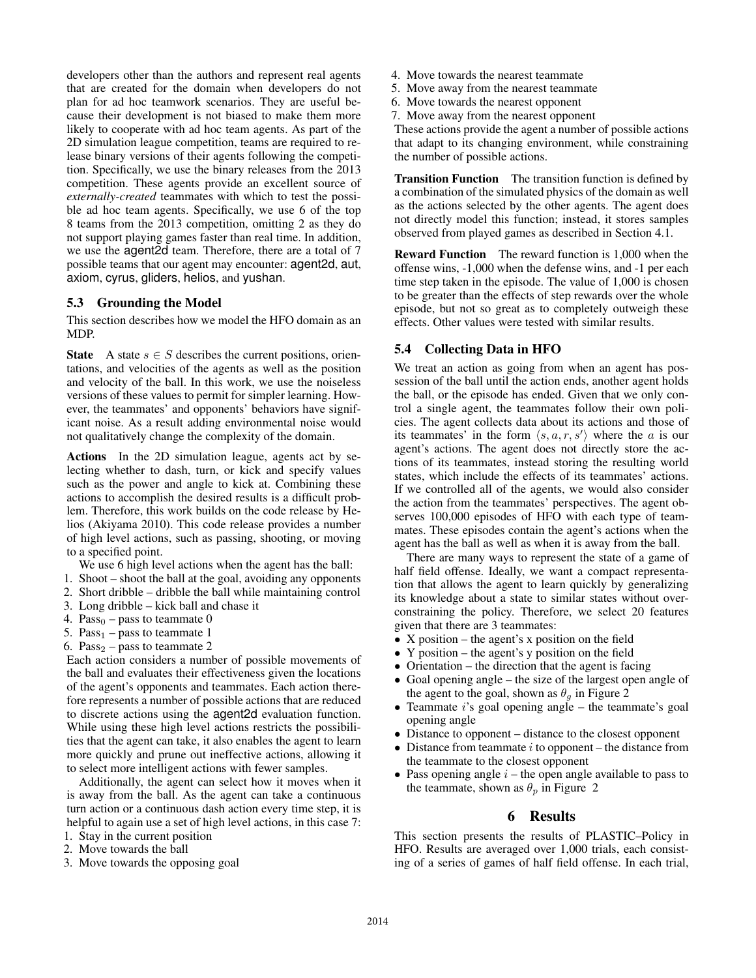developers other than the authors and represent real agents that are created for the domain when developers do not plan for ad hoc teamwork scenarios. They are useful because their development is not biased to make them more likely to cooperate with ad hoc team agents. As part of the 2D simulation league competition, teams are required to release binary versions of their agents following the competition. Specifically, we use the binary releases from the 2013 competition. These agents provide an excellent source of *externally-created* teammates with which to test the possible ad hoc team agents. Specifically, we use 6 of the top 8 teams from the 2013 competition, omitting 2 as they do not support playing games faster than real time. In addition, we use the agent2d team. Therefore, there are a total of 7 possible teams that our agent may encounter: agent2d, aut, axiom, cyrus, gliders, helios, and yushan.

# 5.3 Grounding the Model

This section describes how we model the HFO domain as an MDP.

State A state  $s \in S$  describes the current positions, orientations, and velocities of the agents as well as the position and velocity of the ball. In this work, we use the noiseless versions of these values to permit for simpler learning. However, the teammates' and opponents' behaviors have significant noise. As a result adding environmental noise would not qualitatively change the complexity of the domain.

Actions In the 2D simulation league, agents act by selecting whether to dash, turn, or kick and specify values such as the power and angle to kick at. Combining these actions to accomplish the desired results is a difficult problem. Therefore, this work builds on the code release by Helios (Akiyama 2010). This code release provides a number of high level actions, such as passing, shooting, or moving to a specified point.

- We use 6 high level actions when the agent has the ball:
- 1. Shoot shoot the ball at the goal, avoiding any opponents
- 2. Short dribble dribble the ball while maintaining control
- 3. Long dribble kick ball and chase it
- 4.  $Pass<sub>0</sub> pass to teammate 0$
- 5.  $Pass<sub>1</sub> pass to teammate 1$
- 6. Pass<sub>2</sub> pass to teammate 2

Each action considers a number of possible movements of the ball and evaluates their effectiveness given the locations of the agent's opponents and teammates. Each action therefore represents a number of possible actions that are reduced to discrete actions using the agent2d evaluation function. While using these high level actions restricts the possibilities that the agent can take, it also enables the agent to learn more quickly and prune out ineffective actions, allowing it to select more intelligent actions with fewer samples.

Additionally, the agent can select how it moves when it is away from the ball. As the agent can take a continuous turn action or a continuous dash action every time step, it is helpful to again use a set of high level actions, in this case 7:

- 1. Stay in the current position
- 2. Move towards the ball
- 3. Move towards the opposing goal
- 4. Move towards the nearest teammate
- 5. Move away from the nearest teammate
- 6. Move towards the nearest opponent
- 7. Move away from the nearest opponent

These actions provide the agent a number of possible actions that adapt to its changing environment, while constraining the number of possible actions.

Transition Function The transition function is defined by a combination of the simulated physics of the domain as well as the actions selected by the other agents. The agent does not directly model this function; instead, it stores samples observed from played games as described in Section 4.1.

Reward Function The reward function is 1,000 when the offense wins, -1,000 when the defense wins, and -1 per each time step taken in the episode. The value of 1,000 is chosen to be greater than the effects of step rewards over the whole episode, but not so great as to completely outweigh these effects. Other values were tested with similar results.

# 5.4 Collecting Data in HFO

We treat an action as going from when an agent has possession of the ball until the action ends, another agent holds the ball, or the episode has ended. Given that we only control a single agent, the teammates follow their own policies. The agent collects data about its actions and those of its teammates' in the form  $\langle s, a, r, s' \rangle$  where the a is our agent's actions. The agent does not directly store the actions of its teammates, instead storing the resulting world states, which include the effects of its teammates' actions. If we controlled all of the agents, we would also consider the action from the teammates' perspectives. The agent observes 100,000 episodes of HFO with each type of teammates. These episodes contain the agent's actions when the agent has the ball as well as when it is away from the ball.

There are many ways to represent the state of a game of half field offense. Ideally, we want a compact representation that allows the agent to learn quickly by generalizing its knowledge about a state to similar states without overconstraining the policy. Therefore, we select 20 features given that there are 3 teammates:

- X position the agent's x position on the field
- Y position the agent's y position on the field
- Orientation the direction that the agent is facing
- Goal opening angle the size of the largest open angle of the agent to the goal, shown as  $\theta_q$  in Figure 2
- Teammate  $i$ 's goal opening angle the teammate's goal opening angle
- Distance to opponent distance to the closest opponent
- Distance from teammate  $i$  to opponent the distance from the teammate to the closest opponent
- Pass opening angle  $i$  the open angle available to pass to the teammate, shown as  $\theta_p$  in Figure 2

# 6 Results

This section presents the results of PLASTIC–Policy in HFO. Results are averaged over 1,000 trials, each consisting of a series of games of half field offense. In each trial,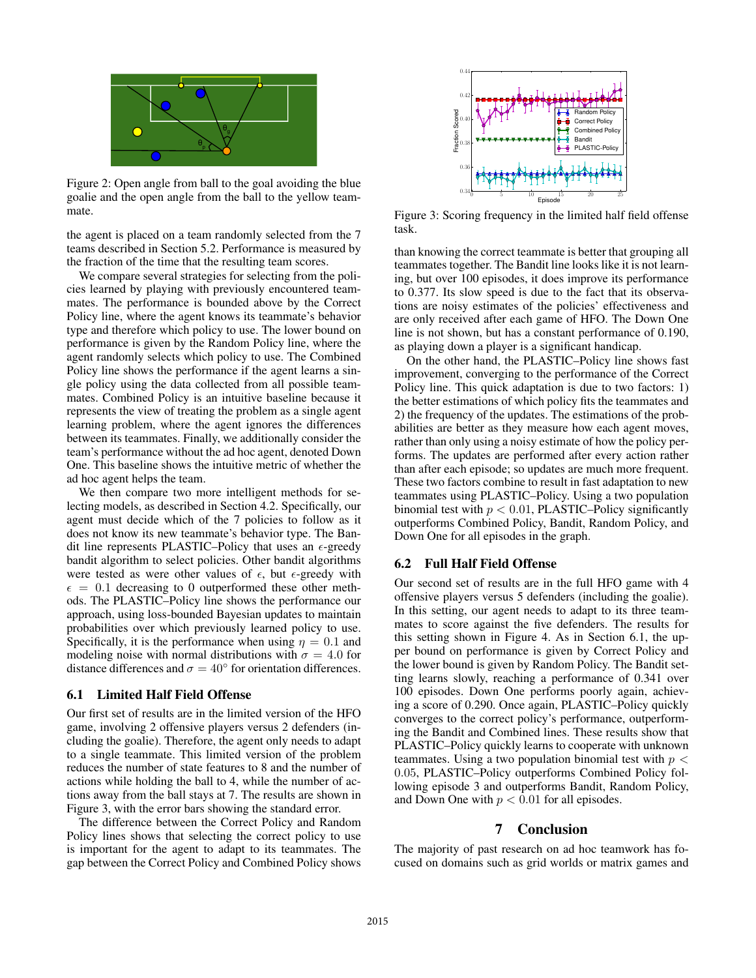

Figure 2: Open angle from ball to the goal avoiding the blue goalie and the open angle from the ball to the yellow teammate.

the agent is placed on a team randomly selected from the 7 teams described in Section 5.2. Performance is measured by the fraction of the time that the resulting team scores.

We compare several strategies for selecting from the policies learned by playing with previously encountered teammates. The performance is bounded above by the Correct Policy line, where the agent knows its teammate's behavior type and therefore which policy to use. The lower bound on performance is given by the Random Policy line, where the agent randomly selects which policy to use. The Combined Policy line shows the performance if the agent learns a single policy using the data collected from all possible teammates. Combined Policy is an intuitive baseline because it represents the view of treating the problem as a single agent learning problem, where the agent ignores the differences between its teammates. Finally, we additionally consider the team's performance without the ad hoc agent, denoted Down One. This baseline shows the intuitive metric of whether the ad hoc agent helps the team.

We then compare two more intelligent methods for selecting models, as described in Section 4.2. Specifically, our agent must decide which of the 7 policies to follow as it does not know its new teammate's behavior type. The Bandit line represents PLASTIC–Policy that uses an  $\epsilon$ -greedy bandit algorithm to select policies. Other bandit algorithms were tested as were other values of  $\epsilon$ , but  $\epsilon$ -greedy with  $\epsilon = 0.1$  decreasing to 0 outperformed these other methods. The PLASTIC–Policy line shows the performance our approach, using loss-bounded Bayesian updates to maintain probabilities over which previously learned policy to use. Specifically, it is the performance when using  $\eta = 0.1$  and modeling noise with normal distributions with  $\sigma = 4.0$  for distance differences and  $\sigma = 40^{\circ}$  for orientation differences.

## 6.1 Limited Half Field Offense

Our first set of results are in the limited version of the HFO game, involving 2 offensive players versus 2 defenders (including the goalie). Therefore, the agent only needs to adapt to a single teammate. This limited version of the problem reduces the number of state features to 8 and the number of actions while holding the ball to 4, while the number of actions away from the ball stays at 7. The results are shown in Figure 3, with the error bars showing the standard error.

The difference between the Correct Policy and Random Policy lines shows that selecting the correct policy to use is important for the agent to adapt to its teammates. The gap between the Correct Policy and Combined Policy shows



Figure 3: Scoring frequency in the limited half field offense task.

than knowing the correct teammate is better that grouping all teammates together. The Bandit line looks like it is not learning, but over 100 episodes, it does improve its performance to 0.377. Its slow speed is due to the fact that its observations are noisy estimates of the policies' effectiveness and are only received after each game of HFO. The Down One line is not shown, but has a constant performance of 0.190, as playing down a player is a significant handicap.

On the other hand, the PLASTIC–Policy line shows fast improvement, converging to the performance of the Correct Policy line. This quick adaptation is due to two factors: 1) the better estimations of which policy fits the teammates and 2) the frequency of the updates. The estimations of the probabilities are better as they measure how each agent moves, rather than only using a noisy estimate of how the policy performs. The updates are performed after every action rather than after each episode; so updates are much more frequent. These two factors combine to result in fast adaptation to new teammates using PLASTIC–Policy. Using a two population binomial test with  $p < 0.01$ , PLASTIC–Policy significantly outperforms Combined Policy, Bandit, Random Policy, and Down One for all episodes in the graph.

## 6.2 Full Half Field Offense

Our second set of results are in the full HFO game with 4 offensive players versus 5 defenders (including the goalie). In this setting, our agent needs to adapt to its three teammates to score against the five defenders. The results for this setting shown in Figure 4. As in Section 6.1, the upper bound on performance is given by Correct Policy and the lower bound is given by Random Policy. The Bandit setting learns slowly, reaching a performance of 0.341 over 100 episodes. Down One performs poorly again, achieving a score of 0.290. Once again, PLASTIC–Policy quickly converges to the correct policy's performance, outperforming the Bandit and Combined lines. These results show that PLASTIC–Policy quickly learns to cooperate with unknown teammates. Using a two population binomial test with  $p <$ 0.05, PLASTIC–Policy outperforms Combined Policy following episode 3 and outperforms Bandit, Random Policy, and Down One with  $p < 0.01$  for all episodes.

## 7 Conclusion

The majority of past research on ad hoc teamwork has focused on domains such as grid worlds or matrix games and